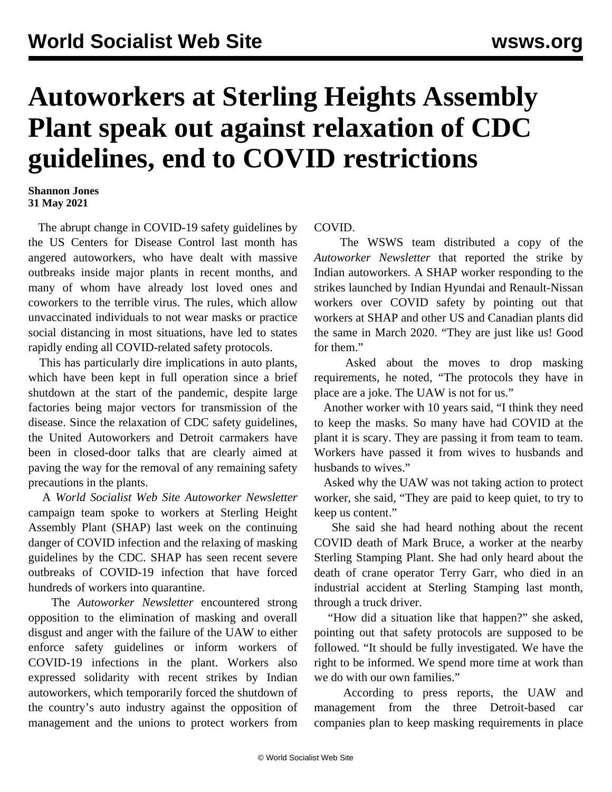## **Autoworkers at Sterling Heights Assembly Plant speak out against relaxation of CDC guidelines, end to COVID restrictions**

## **Shannon Jones 31 May 2021**

 The abrupt change in COVID-19 safety guidelines by the US Centers for Disease Control last month has angered autoworkers, who have dealt with massive outbreaks inside major plants in recent months, and many of whom have already lost loved ones and coworkers to the terrible virus. The rules, which allow unvaccinated individuals to not wear masks or practice social distancing in most situations, have led to states rapidly ending all COVID-related safety protocols.

 This has particularly dire implications in auto plants, which have been kept in full operation since a brief shutdown at the start of the pandemic, despite large factories being major vectors for transmission of the disease. Since the relaxation of CDC safety guidelines, the United Autoworkers and Detroit carmakers have been in closed-door talks that are clearly aimed at paving the way for the removal of any remaining safety precautions in the plants.

 A *World Socialist Web Site Autoworker Newsletter* campaign team spoke to workers at Sterling Height Assembly Plant (SHAP) last week on the continuing danger of COVID infection and the relaxing of masking guidelines by the CDC. SHAP has seen recent severe outbreaks of COVID-19 infection that have forced [hundreds of workers](/en/articles/2021/05/04/shap-m04.html) into quarantine.

 The *Autoworker Newsletter* encountered strong opposition to the elimination of masking and overall disgust and anger with the failure of the UAW to either enforce safety guidelines or inform workers of COVID-19 infections in the plant. Workers also expressed solidarity with recent strikes by [Indian](/en/articles/2021/05/27/inau-m27.html) [autoworkers,](/en/articles/2021/05/27/inau-m27.html) which temporarily forced the shutdown of the country's auto industry against the opposition of management and the unions to protect workers from COVID.

 The WSWS team distributed a copy of the *Autoworker Newsletter* that reported the strike by Indian autoworkers. A SHAP worker responding to the strikes launched by Indian Hyundai and Renault-Nissan workers over COVID safety by pointing out that workers at SHAP and other US and Canadian plants [did](/en/articles/2020/03/19/auto-m19.html) [the same in March 2020.](/en/articles/2020/03/19/auto-m19.html) "They are just like us! Good for them."

 Asked about the moves to drop masking requirements, he noted, "The protocols they have in place are a joke. The UAW is not for us."

 Another worker with 10 years said, "I think they need to keep the masks. So many have had COVID at the plant it is scary. They are passing it from team to team. Workers have passed it from wives to husbands and husbands to wives."

 Asked why the UAW was not taking action to protect worker, she said, "They are paid to keep quiet, to try to keep us content."

 She said she had heard nothing about the recent COVID death of Mark Bruce, a worker at the nearby [Sterling Stamping Plant](/en/articles/2021/05/14/garr-m14.html). She had only heard about the death of crane operator Terry Garr, who died in an industrial accident at Sterling Stamping last month, through a truck driver.

 "How did a situation like that happen?" she asked, pointing out that safety protocols are supposed to be followed. "It should be fully investigated. We have the right to be informed. We spend more time at work than we do with our own families."

 According to press reports, the UAW and management from the three Detroit-based car companies plan to keep masking requirements in place